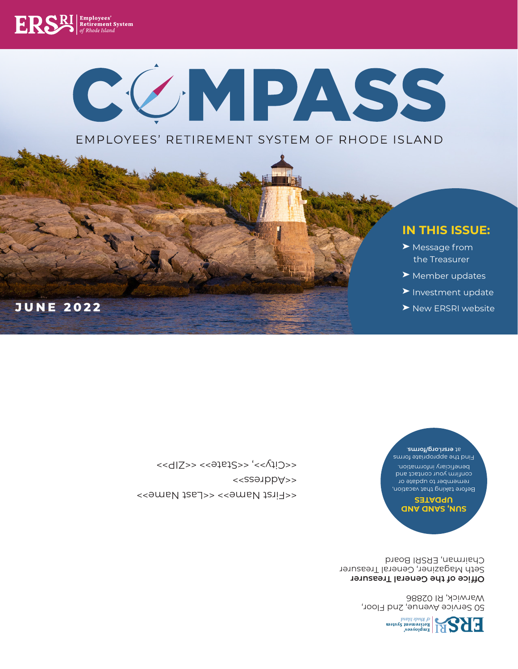

50 Service Avenue, 2nd Floor, Warwick, RI 02886

**Office of the General Treasurer**

Seth Magaziner, General Treasurer Chairman, ERSRI Board

#### **SUN, SAND AND UPDATES**

Before taking that vacation, remember to update or confirm your contact and beneficiary information.

#### Find the appropriate forms at ersri.org/forms.

<<First Name>> <<Last Name>> <<Address>>  $<|Z>>  $<|2)  $<|2)  $<|2)  $>$$$$$ 

**JUNE 2022**

#### ➤ New ERSRI website

- ➤ Investment update
- ➤ Member updates
- ➤ Message from the Treasurer

### **IN THIS ISSUE:**

### EMPLOYEES' RETIREMENT SYSTEM OF RHODE ISLAND

COMPASS

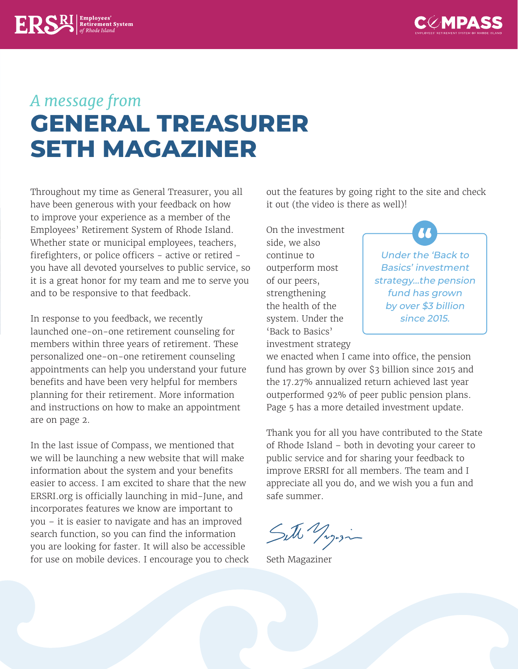

## *A message from*  **GENERAL TREASURER SETH MAGAZINER**

Throughout my time as General Treasurer, you all have been generous with your feedback on how to improve your experience as a member of the Employees' Retirement System of Rhode Island. Whether state or municipal employees, teachers, firefighters, or police officers - active or retired you have all devoted yourselves to public service, so it is a great honor for my team and me to serve you and to be responsive to that feedback.

 $\sum_{\text{ref:} \text{R}} \left| \text{Employes}' \atop \text{of Rhode Island} \right|$ 

In response to you feedback, we recently launched one-on-one retirement counseling for members within three years of retirement. These personalized one-on-one retirement counseling appointments can help you understand your future benefits and have been very helpful for members planning for their retirement. More information and instructions on how to make an appointment are on page 2.

In the last issue of Compass, we mentioned that we will be launching a new website that will make information about the system and your benefits easier to access. I am excited to share that the new ERSRI.org is officially launching in mid-June, and incorporates features we know are important to you – it is easier to navigate and has an improved search function, so you can find the information you are looking for faster. It will also be accessible for use on mobile devices. I encourage you to check out the features by going right to the site and check it out (the video is there as well)!

On the investment side, we also continue to outperform most of our peers, strengthening the health of the system. Under the 'Back to Basics' investment strategy



we enacted when I came into office, the pension fund has grown by over \$3 billion since 2015 and the 17.27% annualized return achieved last year outperformed 92% of peer public pension plans. Page 5 has a more detailed investment update.

Thank you for all you have contributed to the State of Rhode Island – both in devoting your career to public service and for sharing your feedback to improve ERSRI for all members. The team and I appreciate all you do, and we wish you a fun and safe summer.

Sitte Yogasin

Seth Magaziner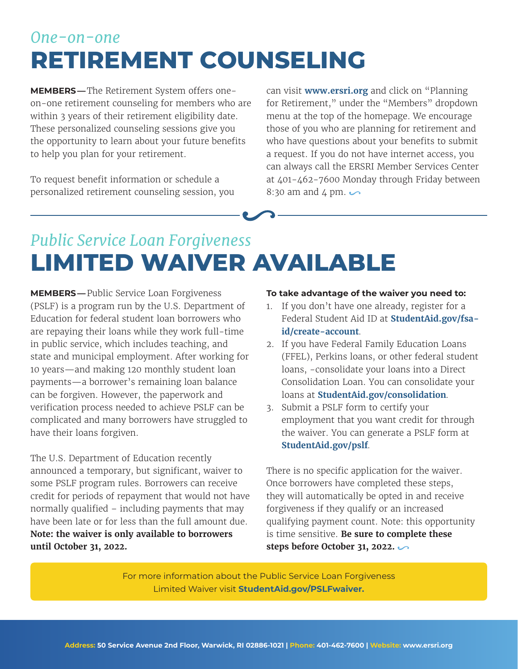### *One-on-one* **RETIREMENT COUNSELING**

**MEMBERS —**The Retirement System offers oneon-one retirement counseling for members who are within 3 years of their retirement eligibility date. These personalized counseling sessions give you the opportunity to learn about your future benefits to help you plan for your retirement.

To request benefit information or schedule a personalized retirement counseling session, you can visit **www.ersri.org** and click on "Planning for Retirement," under the "Members" dropdown menu at the top of the homepage. We encourage those of you who are planning for retirement and who have questions about your benefits to submit a request. If you do not have internet access, you can always call the ERSRI Member Services Center at 401-462-7600 Monday through Friday between 8:30 am and 4 pm.  $\sim$ 

# *Public Service Loan Forgiveness* **LIMITED WAIVER AVAILABLE**

**MEMBERS —**Public Service Loan Forgiveness (PSLF) is a program run by the U.S. Department of Education for federal student loan borrowers who are repaying their loans while they work full-time in public service, which includes teaching, and state and municipal employment. After working for 10 years—and making 120 monthly student loan payments—a borrower's remaining loan balance can be forgiven. However, the paperwork and verification process needed to achieve PSLF can be complicated and many borrowers have struggled to have their loans forgiven.

The U.S. Department of Education recently announced a temporary, but significant, waiver to some PSLF program rules. Borrowers can receive credit for periods of repayment that would not have normally qualified – including payments that may have been late or for less than the full amount due. **Note: the waiver is only available to borrowers until October 31, 2022.**

#### **To take advantage of the waiver you need to:**

- 1. If you don't have one already, register for a Federal Student Aid ID at **StudentAid.gov/fsaid/create-account**.
- 2. If you have Federal Family Education Loans (FFEL), Perkins loans, or other federal student loans, -consolidate your loans into a Direct Consolidation Loan. You can consolidate your loans at **StudentAid.gov/consolidation**.
- 3. Submit a PSLF form to certify your employment that you want credit for through the waiver. You can generate a PSLF form at **StudentAid.gov/pslf**.

There is no specific application for the waiver. Once borrowers have completed these steps, they will automatically be opted in and receive forgiveness if they qualify or an increased qualifying payment count. Note: this opportunity is time sensitive. **Be sure to complete these steps before October 31, 2022.** 

For more information about the Public Service Loan Forgiveness Limited Waiver visit **StudentAid.gov/PSLFwaiver.**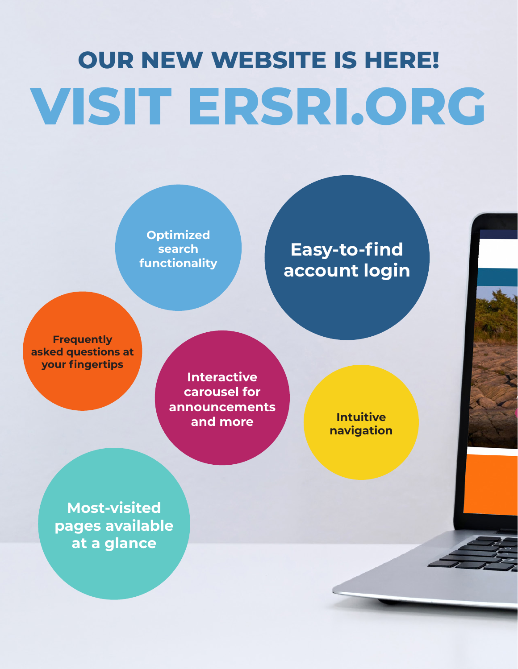# **OUR NEW WEBSITE IS HERE! VISIT ERSRI.ORG**

**Optimized search functionality**

**Easy-to-find account login**

**Frequently asked questions at your fingertips**

**Interactive carousel for announcements and more**

**Intuitive navigation**

**Most-visited pages available at a glance**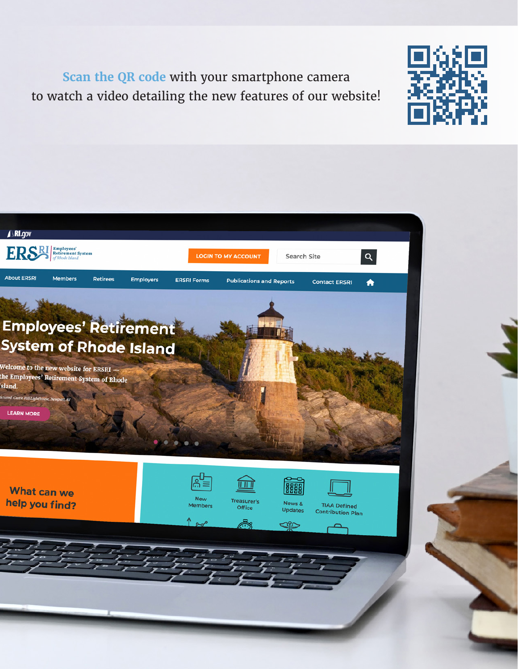**Scan the QR code** with your smartphone camera to watch a video detailing the new features of our website!